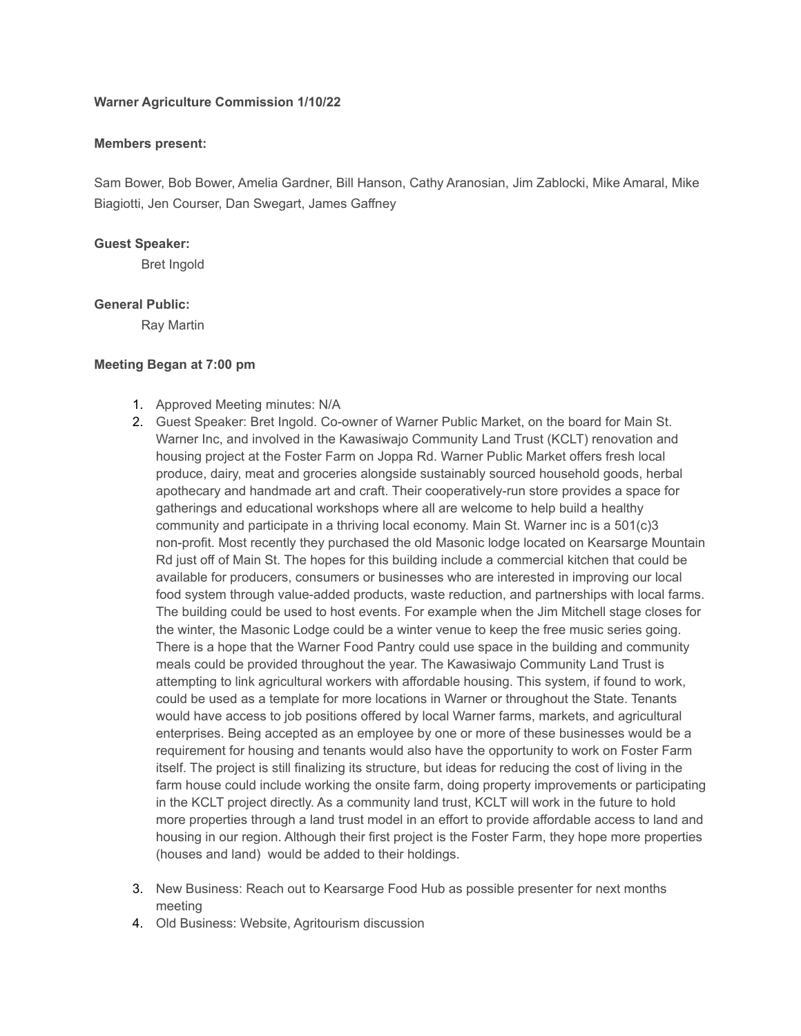# **Warner Agriculture Commission 1/10/22**

## **Members present:**

Sam Bower, Bob Bower, Amelia Gardner, Bill Hanson, Cathy Aranosian, Jim Zablocki, Mike Amaral, Mike Biagiotti, Jen Courser, Dan Swegart, James Gaffney

## **Guest Speaker:**

Bret Ingold

# **General Public:**

Ray Martin

# **Meeting Began at 7:00 pm**

- 1. Approved Meeting minutes: N/A
- 2. Guest Speaker: Bret Ingold. Co-owner of Warner Public Market, on the board for Main St. Warner Inc, and involved in the Kawasiwajo Community Land Trust (KCLT) renovation and housing project at the Foster Farm on Joppa Rd. Warner Public Market offers fresh local produce, dairy, meat and groceries alongside sustainably sourced household goods, herbal apothecary and handmade art and craft. Their cooperatively-run store provides a space for gatherings and educational workshops where all are welcome to help build a healthy community and participate in a thriving local economy. Main St. Warner inc is a 501(c)3 non-profit. Most recently they purchased the old Masonic lodge located on Kearsarge Mountain Rd just off of Main St. The hopes for this building include a commercial kitchen that could be available for producers, consumers or businesses who are interested in improving our local food system through value-added products, waste reduction, and partnerships with local farms. The building could be used to host events. For example when the Jim Mitchell stage closes for the winter, the Masonic Lodge could be a winter venue to keep the free music series going. There is a hope that the Warner Food Pantry could use space in the building and community meals could be provided throughout the year. The Kawasiwajo Community Land Trust is attempting to link agricultural workers with affordable housing. This system, if found to work, could be used as a template for more locations in Warner or throughout the State. Tenants would have access to job positions offered by local Warner farms, markets, and agricultural enterprises. Being accepted as an employee by one or more of these businesses would be a requirement for housing and tenants would also have the opportunity to work on Foster Farm itself. The project is still finalizing its structure, but ideas for reducing the cost of living in the farm house could include working the onsite farm, doing property improvements or participating in the KCLT project directly. As a community land trust, KCLT will work in the future to hold more properties through a land trust model in an effort to provide affordable access to land and housing in our region. Although their first project is the Foster Farm, they hope more properties (houses and land) would be added to their holdings.
- 3. New Business: Reach out to Kearsarge Food Hub as possible presenter for next months meeting
- 4. Old Business: Website, Agritourism discussion